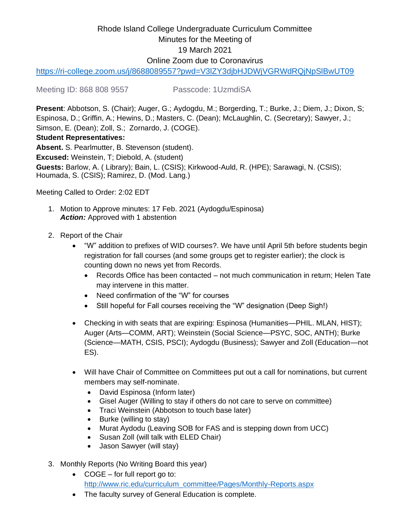# Rhode Island College Undergraduate Curriculum Committee Minutes for the Meeting of 19 March 2021 Online Zoom due to Coronavirus

<https://ri-college.zoom.us/j/8688089557?pwd=V3lZY3djbHJDWjVGRWdRQjNpSlBwUT09>

Meeting ID: 868 808 9557 Passcode: 1UzmdiSA

**Present**: Abbotson, S. (Chair); Auger, G.; Aydogdu, M.; Borgerding, T.; Burke, J.; Diem, J.; Dixon, S; Espinosa, D.; Griffin, A.; Hewins, D.; Masters, C. (Dean); McLaughlin, C. (Secretary); Sawyer, J.; Simson, E. (Dean); Zoll, S.; Zornardo, J. (COGE). **Student Representatives:**

**Absent.** S. Pearlmutter, B. Stevenson (student). **Excused:** Weinstein, T; Diebold, A. (student) **Guests:** Barlow, A. ( Library); Bain, L. (CSIS); Kirkwood-Auld, R. (HPE); Sarawagi, N. (CSIS); Houmada, S. (CSIS); Ramirez, D. (Mod. Lang.)

Meeting Called to Order: 2:02 EDT

- 1. Motion to Approve minutes: 17 Feb. 2021 (Aydogdu/Espinosa) **Action:** Approved with 1 abstention
- 2. Report of the Chair
	- "W" addition to prefixes of WID courses?. We have until April 5th before students begin registration for fall courses (and some groups get to register earlier); the clock is counting down no news yet from Records.
		- Records Office has been contacted not much communication in return; Helen Tate may intervene in this matter.
		- Need confirmation of the "W" for courses
		- Still hopeful for Fall courses receiving the "W" designation (Deep Sigh!)
	- Checking in with seats that are expiring: Espinosa (Humanities—PHIL. MLAN, HIST); Auger (Arts—COMM, ART); Weinstein (Social Science—PSYC, SOC, ANTH); Burke (Science—MATH, CSIS, PSCI); Aydogdu (Business); Sawyer and Zoll (Education—not ES).
	- Will have Chair of Committee on Committees put out a call for nominations, but current members may self-nominate.
		- David Espinosa (Inform later)
		- Gisel Auger (Willing to stay if others do not care to serve on committee)
		- Traci Weinstein (Abbotson to touch base later)
		- Burke (willing to stay)
		- Murat Aydodu (Leaving SOB for FAS and is stepping down from UCC)
		- Susan Zoll (will talk with ELED Chair)
		- Jason Sawyer (will stay)
- 3. Monthly Reports (No Writing Board this year)
	- COGE for full report go to: [http://www.ric.edu/curriculum\\_committee/Pages/Monthly-Reports.aspx](http://www.ric.edu/curriculum_committee/Pages/Monthly-Reports.aspx)
	- The faculty survey of General Education is complete.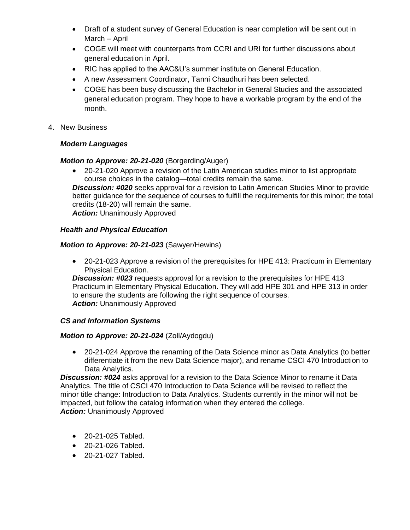- Draft of a student survey of General Education is near completion will be sent out in March – April
- COGE will meet with counterparts from CCRI and URI for further discussions about general education in April.
- RIC has applied to the AAC&U's summer institute on General Education.
- A new Assessment Coordinator, Tanni Chaudhuri has been selected.
- COGE has been busy discussing the Bachelor in General Studies and the associated general education program. They hope to have a workable program by the end of the month.
- 4. New Business

## *Modern Languages*

#### *Motion to Approve: 20-21-020* (Borgerding/Auger)

• 20-21-020 Approve a revision of the Latin American studies minor to list appropriate course choices in the catalog—total credits remain the same.

**Discussion: #020** seeks approval for a revision to Latin American Studies Minor to provide better guidance for the sequence of courses to fulfill the requirements for this minor; the total credits (18-20) will remain the same.

*Action:* Unanimously Approved

## *Health and Physical Education*

## *Motion to Approve: 20-21-023* (Sawyer/Hewins)

• 20-21-023 Approve a revision of the prerequisites for HPE 413: Practicum in Elementary Physical Education.

*Discussion: #023* requests approval for a revision to the prerequisites for HPE 413 Practicum in Elementary Physical Education. They will add HPE 301 and HPE 313 in order to ensure the students are following the right sequence of courses. *Action:* Unanimously Approved

### *CS and Information Systems*

#### *Motion to Approve: 20-21-024* (Zoll/Aydogdu)

• 20-21-024 Approve the renaming of the Data Science minor as Data Analytics (to better differentiate it from the new Data Science major), and rename CSCI 470 Introduction to Data Analytics.

*Discussion: #024* asks approval for a revision to the Data Science Minor to rename it Data Analytics. The title of CSCI 470 Introduction to Data Science will be revised to reflect the minor title change: Introduction to Data Analytics. Students currently in the minor will not be impacted, but follow the catalog information when they entered the college. **Action: Unanimously Approved** 

- 20-21-025 Tabled.
- 20-21-026 Tabled.
- 20-21-027 Tabled.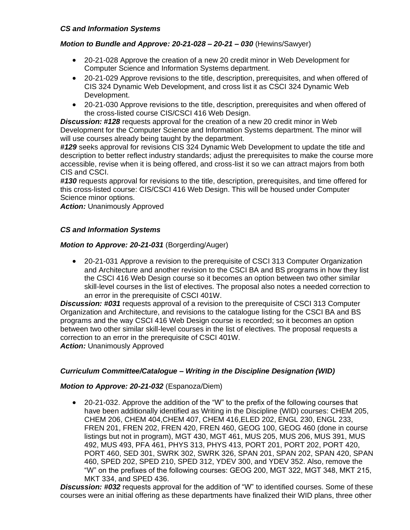#### *CS and Information Systems*

### *Motion to Bundle and Approve: 20-21-028 – 20-21 – 030* (Hewins/Sawyer)

- 20-21-028 Approve the creation of a new 20 credit minor in Web Development for Computer Science and Information Systems department.
- 20-21-029 Approve revisions to the title, description, prerequisites, and when offered of CIS 324 Dynamic Web Development, and cross list it as CSCI 324 Dynamic Web Development.
- 20-21-030 Approve revisions to the title, description, prerequisites and when offered of the cross-listed course CIS/CSCI 416 Web Design.

*Discussion: #128* requests approval for the creation of a new 20 credit minor in Web Development for the Computer Science and Information Systems department. The minor will will use courses already being taught by the department.

*#129* seeks approval for revisions CIS 324 Dynamic Web Development to update the title and description to better reflect industry standards; adjust the prerequisites to make the course more accessible, revise when it is being offered, and cross-list it so we can attract majors from both CIS and CSCI.

*#130* requests approval for revisions to the title, description, prerequisites, and time offered for this cross-listed course: CIS/CSCI 416 Web Design. This will be housed under Computer Science minor options.

**Action: Unanimously Approved** 

#### *CS and Information Systems*

#### *Motion to Approve: 20-21-031 (Borgerding/Auger)*

• 20-21-031 Approve a revision to the prerequisite of CSCI 313 Computer Organization and Architecture and another revision to the CSCI BA and BS programs in how they list the CSCI 416 Web Design course so it becomes an option between two other similar skill-level courses in the list of electives. The proposal also notes a needed correction to an error in the prerequisite of CSCI 401W.

*Discussion: #031* requests approval of a revision to the prerequisite of CSCI 313 Computer Organization and Architecture, and revisions to the catalogue listing for the CSCI BA and BS programs and the way CSCI 416 Web Design course is recorded; so it becomes an option between two other similar skill-level courses in the list of electives. The proposal requests a correction to an error in the prerequisite of CSCI 401W.

**Action: Unanimously Approved** 

#### *Curriculum Committee/Catalogue – Writing in the Discipline Designation (WID)*

#### *Motion to Approve: 20-21-032* (Espanoza/Diem)

• 20-21-032. Approve the addition of the "W" to the prefix of the following courses that have been additionally identified as Writing in the Discipline (WID) courses: CHEM 205, CHEM 206, CHEM 404,CHEM 407, CHEM 416,ELED 202, ENGL 230, ENGL 233, FREN 201, FREN 202, FREN 420, FREN 460, GEOG 100, GEOG 460 (done in course listings but not in program), MGT 430, MGT 461, MUS 205, MUS 206, MUS 391, MUS 492, MUS 493, PFA 461, PHYS 313, PHYS 413, PORT 201, PORT 202, PORT 420, PORT 460, SED 301, SWRK 302, SWRK 326, SPAN 201, SPAN 202, SPAN 420, SPAN 460, SPED 202, SPED 210, SPED 312, YDEV 300, and YDEV 352. Also, remove the "W" on the prefixes of the following courses: GEOG 200, MGT 322, MGT 348, MKT 215, MKT 334, and SPED 436.

*Discussion: #032* requests approval for the addition of "W" to identified courses. Some of these courses were an initial offering as these departments have finalized their WID plans, three other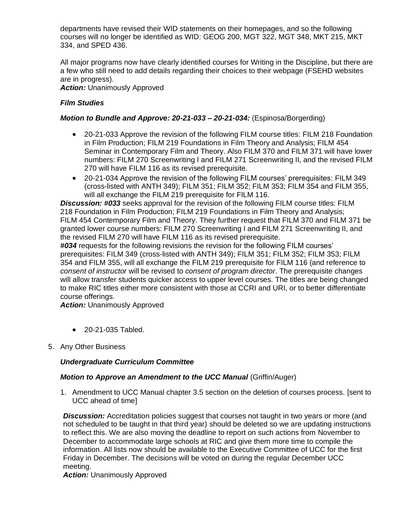departments have revised their WID statements on their homepages, and so the following courses will no longer be identified as WID: GEOG 200, MGT 322, MGT 348, MKT 215, MKT 334, and SPED 436.

All major programs now have clearly identified courses for Writing in the Discipline, but there are a few who still need to add details regarding their choices to their webpage (FSEHD websites are in progress).

**Action: Unanimously Approved** 

## *Film Studies*

## *Motion to Bundle and Approve: 20-21-033 – 20-21-034:* (Espinosa/Borgerding)

- 20-21-033 Approve the revision of the following FILM course titles: FILM 218 Foundation in Film Production; FILM 219 Foundations in Film Theory and Analysis; FILM 454 Seminar in Contemporary Film and Theory. Also FILM 370 and FILM 371 will have lower numbers: FILM 270 Screenwriting I and FILM 271 Screenwriting II, and the revised FILM 270 will have FILM 116 as its revised prerequisite.
- 20-21-034 Approve the revision of the following FILM courses' prerequisites: FILM 349 (cross-listed with ANTH 349); FILM 351; FILM 352; FILM 353; FILM 354 and FILM 355, will all exchange the FILM 219 prerequisite for FILM 116.

*Discussion: #033* seeks approval for the revision of the following FILM course titles: FILM 218 Foundation in Film Production; FILM 219 Foundations in Film Theory and Analysis; FILM 454 Contemporary Film and Theory. They further request that FILM 370 and FILM 371 be granted lower course numbers: FILM 270 Screenwriting I and FILM 271 Screenwriting II, and the revised FILM 270 will have FILM 116 as its revised prerequisite.

*#034* requests for the following revisions the revision for the following FILM courses' prerequisites: FILM 349 (cross-listed with ANTH 349); FILM 351; FILM 352; FILM 353; FILM 354 and FILM 355, will all exchange the FILM 219 prerequisite for FILM 116 (and reference to *consent of instructor* will be revised to *consent of program director*. The prerequisite changes will allow transfer students quicker access to upper level courses. The titles are being changed to make RIC titles either more consistent with those at CCRI and URI, or to better differentiate course offerings.

**Action: Unanimously Approved** 

- 20-21-035 Tabled.
- 5. Any Other Business

#### *Undergraduate Curriculum Committee*

#### *Motion to Approve an Amendment to the UCC Manual (Griffin/Auger)*

1. Amendment to UCC Manual chapter 3.5 section on the deletion of courses process. [sent to UCC ahead of time]

**Discussion:** Accreditation policies suggest that courses not taught in two years or more (and not scheduled to be taught in that third year) should be deleted so we are updating instructions to reflect this. We are also moving the deadline to report on such actions from November to December to accommodate large schools at RIC and give them more time to compile the information. All lists now should be available to the Executive Committee of UCC for the first Friday in December. The decisions will be voted on during the regular December UCC meeting.

**Action:** Unanimously Approved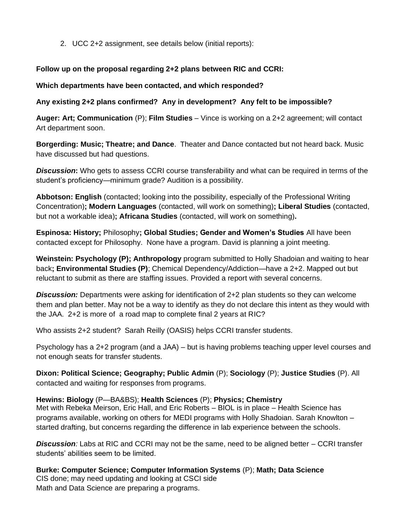2. UCC 2+2 assignment, see details below (initial reports):

## **Follow up on the proposal regarding 2+2 plans between RIC and CCRI:**

### **Which departments have been contacted, and which responded?**

## **Any existing 2+2 plans confirmed? Any in development? Any felt to be impossible?**

**Auger: Art; Communication** (P); **Film Studies** – Vince is working on a 2+2 agreement; will contact Art department soon.

**Borgerding: Music; Theatre; and Dance**. Theater and Dance contacted but not heard back. Music have discussed but had questions.

*Discussion***:** Who gets to assess CCRI course transferability and what can be required in terms of the student's proficiency—minimum grade? Audition is a possibility.

**Abbotson: English** (contacted; looking into the possibility, especially of the Professional Writing Concentration)**; Modern Languages** (contacted, will work on something)**; Liberal Studies** (contacted, but not a workable idea)**; Africana Studies** (contacted, will work on something)**.**

**Espinosa: History;** Philosophy**; Global Studies; Gender and Women's Studies** All have been contacted except for Philosophy. None have a program. David is planning a joint meeting.

**Weinstein: Psychology (P); Anthropology** program submitted to Holly Shadoian and waiting to hear back**; Environmental Studies (P)**; Chemical Dependency/Addiction—have a 2+2. Mapped out but reluctant to submit as there are staffing issues. Provided a report with several concerns.

*Discussion:* Departments were asking for identification of 2+2 plan students so they can welcome them and plan better. May not be a way to identify as they do not declare this intent as they would with the JAA. 2+2 is more of a road map to complete final 2 years at RIC?

Who assists 2+2 student? Sarah Reilly (OASIS) helps CCRI transfer students.

Psychology has a 2+2 program (and a JAA) – but is having problems teaching upper level courses and not enough seats for transfer students.

**Dixon: Political Science; Geography; Public Admin** (P); **Sociology** (P); **Justice Studies** (P). All contacted and waiting for responses from programs.

#### **Hewins: Biology** (P—BA&BS); **Health Sciences** (P); **Physics; Chemistry**

Met with Rebeka Meirson, Eric Hall, and Eric Roberts – BIOL is in place – Health Science has programs available, working on others for MEDI programs with Holly Shadoian. Sarah Knowlton – started drafting, but concerns regarding the difference in lab experience between the schools.

*Discussion:* Labs at RIC and CCRI may not be the same, need to be aligned better – CCRI transfer students' abilities seem to be limited.

**Burke: Computer Science; Computer Information Systems** (P); **Math; Data Science** CIS done; may need updating and looking at CSCI side Math and Data Science are preparing a programs.